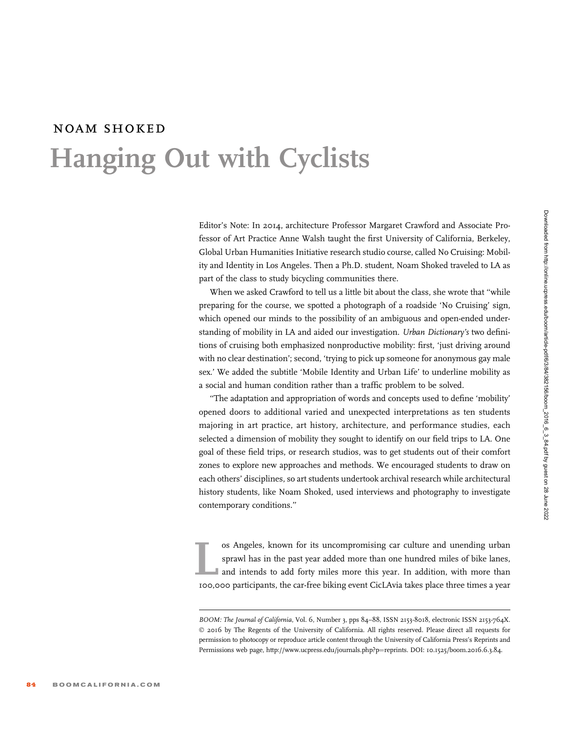## noam shoked Hanging Out with Cyclists

Editor's Note: In 2014, architecture Professor Margaret Crawford and Associate Professor of Art Practice Anne Walsh taught the first University of California, Berkeley, Global Urban Humanities Initiative research studio course, called No Cruising: Mobility and Identity in Los Angeles. Then a Ph.D. student, Noam Shoked traveled to LA as part of the class to study bicycling communities there.

When we asked Crawford to tell us a little bit about the class, she wrote that ''while preparing for the course, we spotted a photograph of a roadside 'No Cruising' sign, which opened our minds to the possibility of an ambiguous and open-ended understanding of mobility in LA and aided our investigation. Urban Dictionary's two definitions of cruising both emphasized nonproductive mobility: first, 'just driving around with no clear destination'; second, 'trying to pick up someone for anonymous gay male sex.' We added the subtitle 'Mobile Identity and Urban Life' to underline mobility as a social and human condition rather than a traffic problem to be solved.

''The adaptation and appropriation of words and concepts used to define 'mobility' opened doors to additional varied and unexpected interpretations as ten students majoring in art practice, art history, architecture, and performance studies, each selected a dimension of mobility they sought to identify on our field trips to LA. One goal of these field trips, or research studios, was to get students out of their comfort zones to explore new approaches and methods. We encouraged students to draw on each others' disciplines, so art students undertook archival research while architectural history students, like Noam Shoked, used interviews and photography to investigate contemporary conditions.''

os Angeles, known for its uncompromising car culture and unending urban sprawl has in the past year added more than one hundred miles of bike lanes, and intends to add forty miles more this year. In addition, with more tha sprawl has in the past year added more than one hundred miles of bike lanes, and intends to add forty miles more this year. In addition, with more than 100,000 participants, the car-free biking event CicLAvia takes place three times a year

BOOM: The Journal of California, Vol. 6, Number 3, pps 84-88, ISSN 2153-8018, electronic ISSN 2153-764X. © 2016 by The Regents of the University of California. All rights reserved. Please direct all requests for permission to photocopy or reproduce article content through the University of California Press's Reprints and Permissions web page, http://www.ucpress.edu/journals.php?p=reprints. DOI: 10.1525/boom.2016.6.3.84.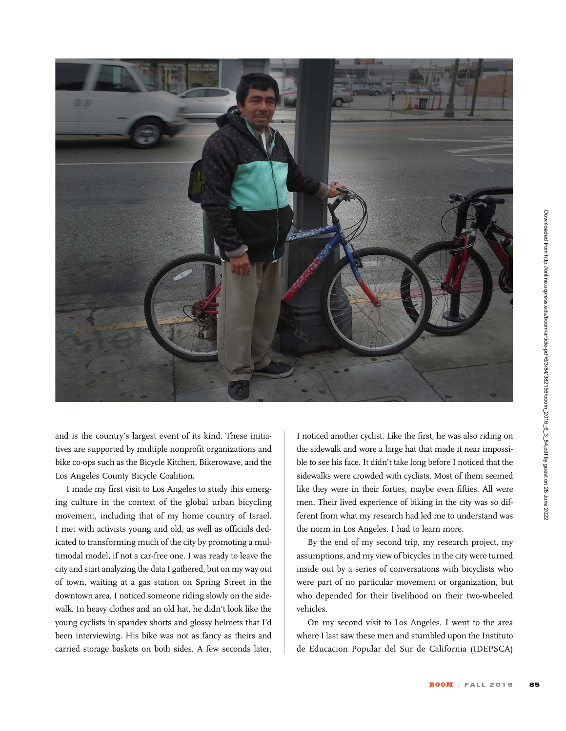

and is the country's largest event of its kind. These initiatives are supported by multiple nonprofit organizations and bike co-ops such as the Bicycle Kitchen, Bikerowave, and the Los Angeles County Bicycle Coalition.

I made my first visit to Los Angeles to study this emerging culture in the context of the global urban bicycling movement, including that of my home country of Israel. I met with activists young and old, as well as officials dedicated to transforming much of the city by promoting a multimodal model, if not a car-free one. I was ready to leave the city and start analyzing the data I gathered, but on my way out of town, waiting at a gas station on Spring Street in the downtown area, I noticed someone riding slowly on the sidewalk. In heavy clothes and an old hat, he didn't look like the young cyclists in spandex shorts and glossy helmets that I'd been interviewing. His bike was not as fancy as theirs and carried storage baskets on both sides. A few seconds later,

I noticed another cyclist. Like the first, he was also riding on the sidewalk and wore a large hat that made it near impossible to see his face. It didn't take long before I noticed that the sidewalks were crowded with cyclists. Most of them seemed like they were in their forties, maybe even fifties. All were men. Their lived experience of biking in the city was so different from what my research had led me to understand was the norm in Los Angeles. I had to learn more.

By the end of my second trip, my research project, my assumptions, and my view of bicycles in the city were turned inside out by a series of conversations with bicyclists who were part of no particular movement or organization, but who depended for their livelihood on their two-wheeled vehicles.

On my second visit to Los Angeles, I went to the area where I last saw these men and stumbled upon the Instituto de Educacion Popular del Sur de California (IDEPSCA)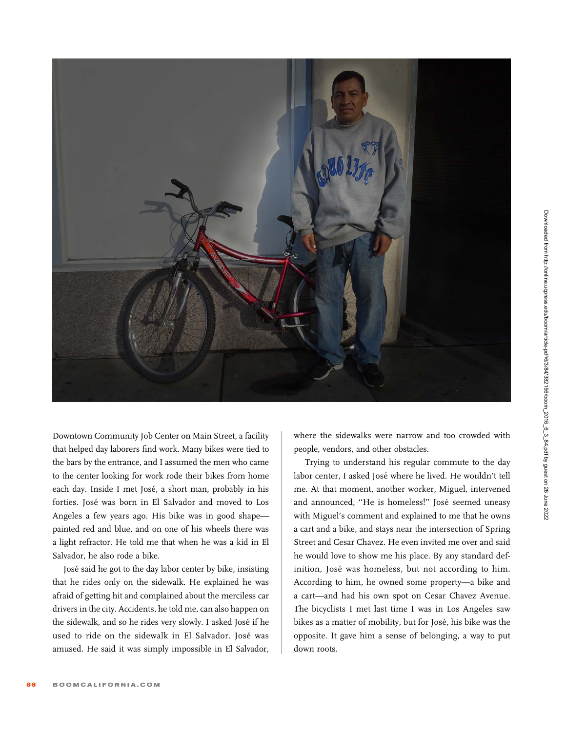

Downtown Community Job Center on Main Street, a facility that helped day laborers find work. Many bikes were tied to the bars by the entrance, and I assumed the men who came to the center looking for work rode their bikes from home each day. Inside I met José, a short man, probably in his forties. José was born in El Salvador and moved to Los Angeles a few years ago. His bike was in good shape painted red and blue, and on one of his wheels there was a light refractor. He told me that when he was a kid in El Salvador, he also rode a bike.

José said he got to the day labor center by bike, insisting that he rides only on the sidewalk. He explained he was afraid of getting hit and complained about the merciless car drivers in the city. Accidents, he told me, can also happen on the sidewalk, and so he rides very slowly. I asked José if he used to ride on the sidewalk in El Salvador. José was amused. He said it was simply impossible in El Salvador, where the sidewalks were narrow and too crowded with people, vendors, and other obstacles.

Trying to understand his regular commute to the day labor center, I asked José where he lived. He wouldn't tell me. At that moment, another worker, Miguel, intervened and announced, "He is homeless!" José seemed uneasy with Miguel's comment and explained to me that he owns a cart and a bike, and stays near the intersection of Spring Street and Cesar Chavez. He even invited me over and said he would love to show me his place. By any standard definition, José was homeless, but not according to him. According to him, he owned some property—a bike and a cart—and had his own spot on Cesar Chavez Avenue. The bicyclists I met last time I was in Los Angeles saw bikes as a matter of mobility, but for José, his bike was the opposite. It gave him a sense of belonging, a way to put down roots.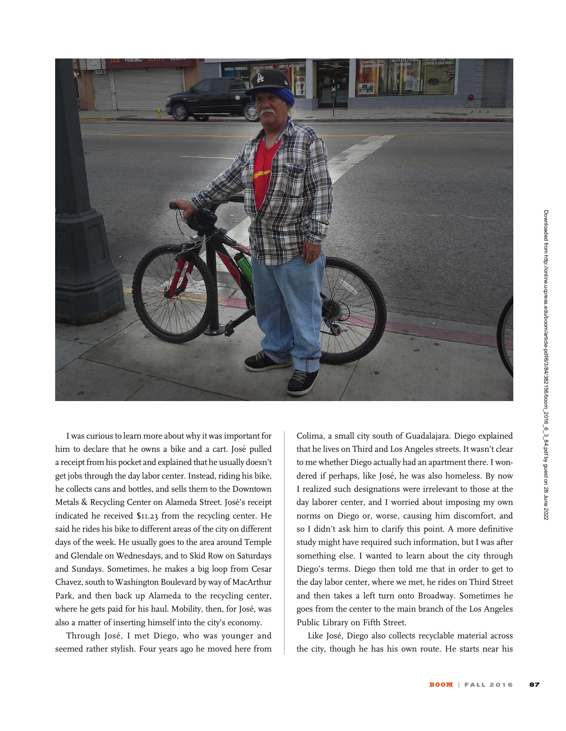

I was curious to learn more about why it was important for him to declare that he owns a bike and a cart. José pulled a receipt from his pocket and explained that he usually doesn't get jobs through the day labor center. Instead, riding his bike, he collects cans and bottles, and sells them to the Downtown Metals & Recycling Center on Alameda Street. José's receipt indicated he received \$11.23 from the recycling center. He said he rides his bike to different areas of the city on different days of the week. He usually goes to the area around Temple and Glendale on Wednesdays, and to Skid Row on Saturdays and Sundays. Sometimes, he makes a big loop from Cesar Chavez, south to Washington Boulevard by way of MacArthur Park, and then back up Alameda to the recycling center, where he gets paid for his haul. Mobility, then, for José, was also a matter of inserting himself into the city's economy.

Through José, I met Diego, who was younger and seemed rather stylish. Four years ago he moved here from Colima, a small city south of Guadalajara. Diego explained that he lives on Third and Los Angeles streets. It wasn't clear to me whether Diego actually had an apartment there. I wondered if perhaps, like José, he was also homeless. By now I realized such designations were irrelevant to those at the day laborer center, and I worried about imposing my own norms on Diego or, worse, causing him discomfort, and so I didn't ask him to clarify this point. A more definitive study might have required such information, but I was after something else. I wanted to learn about the city through Diego's terms. Diego then told me that in order to get to the day labor center, where we met, he rides on Third Street and then takes a left turn onto Broadway. Sometimes he goes from the center to the main branch of the Los Angeles Public Library on Fifth Street.

Like José, Diego also collects recyclable material across the city, though he has his own route. He starts near his